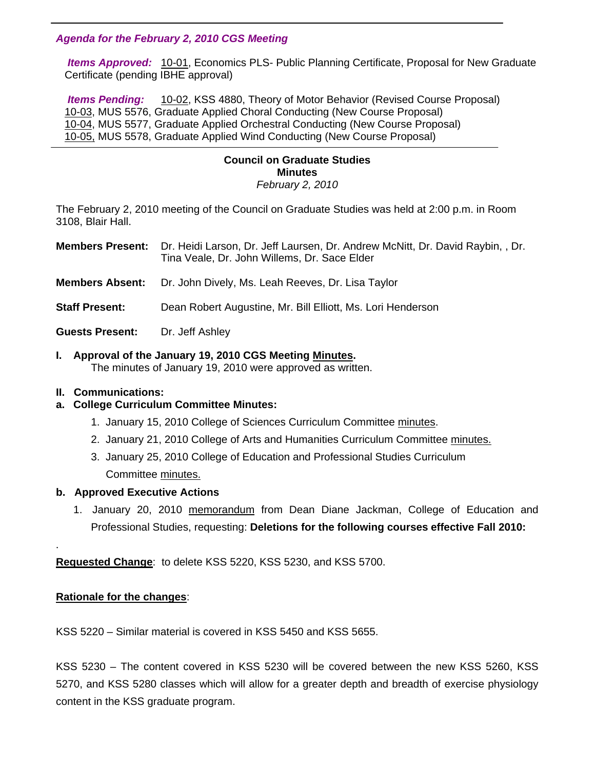### *Agenda for the February 2, 2010 CGS Meeting*

 *Items Approved:* [10-01,](http://www.eiu.edu/~eiucgs/currentagendaitems/agenda10-01.pdf) Economics PLS- Public Planning Certificate, Proposal for New Graduate Certificate (pending IBHE approval)

 *Items Pending:* [10-02, K](http://www.eiu.edu/~eiucgs/currentagendaitems/agenda10-02.pdf)SS 4880, Theory of Motor Behavior (Revised Course Proposal) [10-03,](http://www.eiu.edu/~eiucgs/currentagendaitems/agenda10-03.pdf) MUS 5576, Graduate Applied Choral Conducting (New Course Proposal) [10-04, M](http://www.eiu.edu/~eiucgs/currentagendaitems/agenda10-04.pdf)US 5577, Graduate Applied Orchestral Conducting (New Course Proposal) [10-05, M](http://www.eiu.edu/~eiucgs/currentagendaitems/agenda10-05.pdf)US 5578, Graduate Applied Wind Conducting (New Course Proposal)

### **Council on Graduate Studies Minutes**  *February 2, 2010*

The February 2, 2010 meeting of the Council on Graduate Studies was held at 2:00 p.m. in Room 3108, Blair Hall.

- **Members Present:** Dr. Heidi Larson, Dr. Jeff Laursen, Dr. Andrew McNitt, Dr. David Raybin, , Dr. Tina Veale, Dr. John Willems, Dr. Sace Elder
- **Members Absent:** Dr. John Dively, Ms. Leah Reeves, Dr. Lisa Taylor
- **Staff Present:** Dean Robert Augustine, Mr. Bill Elliott, Ms. Lori Henderson
- Guests Present: Dr. Jeff Ashley

## **I. Approval of the January 19, 2010 CGS Meeting [Minutes.](http://www.eiu.edu/~eiucgs/currentminutes/Minutes1-19-10.pdf)**

The minutes of January 19, 2010 were approved as written.

### **II. Communications:**

l

## **a. College Curriculum Committee Minutes:**

- 1. January 15, 2010 College of Sciences Curriculum Committe[e minutes.](http://www.eiu.edu/~eiucgs/currentagendaitems/COSMin1-15-10.pdf)
- 2. January 21, 2010 College of Arts and Humanities Curriculum Committee [minutes.](http://www.eiu.edu/~eiucgs/currentagendaitems/CAHMin1-21-10.pdf)
- 3. January 25, 2010 College of Education and Professional Studies Curriculum Committee [minutes.](http://www.eiu.edu/~eiucgs/currentagendaitems/CEPSMin1-25-10.pdf)

### **b. Approved Executive Actions**

 1. January 20, 2010 [memorandum fr](http://www.eiu.edu/~eiucgs/currentagendaitems/CEPS-exec-act-1-20-10.pdf)om Dean Diane Jackman, College of Education and Professional Studies, requesting: **Deletions for the following courses effective Fall 2010:** 

**Requested Change**: to delete KSS 5220, KSS 5230, and KSS 5700.

## **Rationale for the changes**:

.

KSS 5220 – Similar material is covered in KSS 5450 and KSS 5655.

KSS 5230 – The content covered in KSS 5230 will be covered between the new KSS 5260, KSS 5270, and KSS 5280 classes which will allow for a greater depth and breadth of exercise physiology content in the KSS graduate program.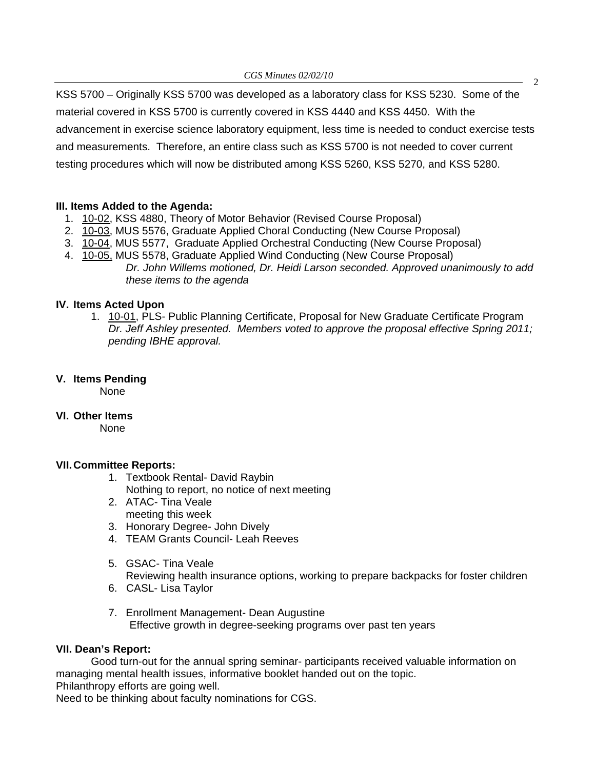KSS 5700 – Originally KSS 5700 was developed as a laboratory class for KSS 5230. Some of the material covered in KSS 5700 is currently covered in KSS 4440 and KSS 4450. With the advancement in exercise science laboratory equipment, less time is needed to conduct exercise tests and measurements. Therefore, an entire class such as KSS 5700 is not needed to cover current testing procedures which will now be distributed among KSS 5260, KSS 5270, and KSS 5280.

## **III. Items Added to the Agenda:**

- 1. [10-02, K](http://www.eiu.edu/~eiucgs/currentagendaitems/agenda10-02.pdf)SS 4880, Theory of Motor Behavior (Revised Course Proposal)
- 2. [10-03,](http://www.eiu.edu/~eiucgs/currentagendaitems/agenda10-03.pdf) MUS 5576, Graduate Applied Choral Conducting (New Course Proposal)
- 3. [10-04, M](http://www.eiu.edu/~eiucgs/currentagendaitems/agenda10-04.pdf)US 5577, Graduate Applied Orchestral Conducting (New Course Proposal)
- 4. [10-05, M](http://www.eiu.edu/~eiucgs/currentagendaitems/agenda10-05.pdf)US 5578, Graduate Applied Wind Conducting (New Course Proposal) *Dr. John Willems motioned, Dr. Heidi Larson seconded. Approved unanimously to add these items to the agenda*

## **IV. Items Acted Upon**

1. [10-01, P](http://www.eiu.edu/~eiucgs/currentagendaitems/agenda10-01.pdf)LS- Public Planning Certificate, Proposal for New Graduate Certificate Program *Dr. Jeff Ashley presented. Members voted to approve the proposal effective Spring 2011; pending IBHE approval.*

# **V. Items Pending**

None

## **VI. Other Items**

None

## **VII. Committee Reports:**

- 1. Textbook Rental- David Raybin Nothing to report, no notice of next meeting
- 2. ATAC- Tina Veale meeting this week
- 3. Honorary Degree- John Dively
- 4. TEAM Grants Council- Leah Reeves
- 5. GSAC- Tina Veale
- Reviewing health insurance options, working to prepare backpacks for foster children
- 6. CASL- Lisa Taylor
- 7. Enrollment Management- Dean Augustine Effective growth in degree-seeking programs over past ten years

## **VII. Dean's Report:**

 Good turn-out for the annual spring seminar- participants received valuable information on managing mental health issues, informative booklet handed out on the topic. Philanthropy efforts are going well.

Need to be thinking about faculty nominations for CGS.